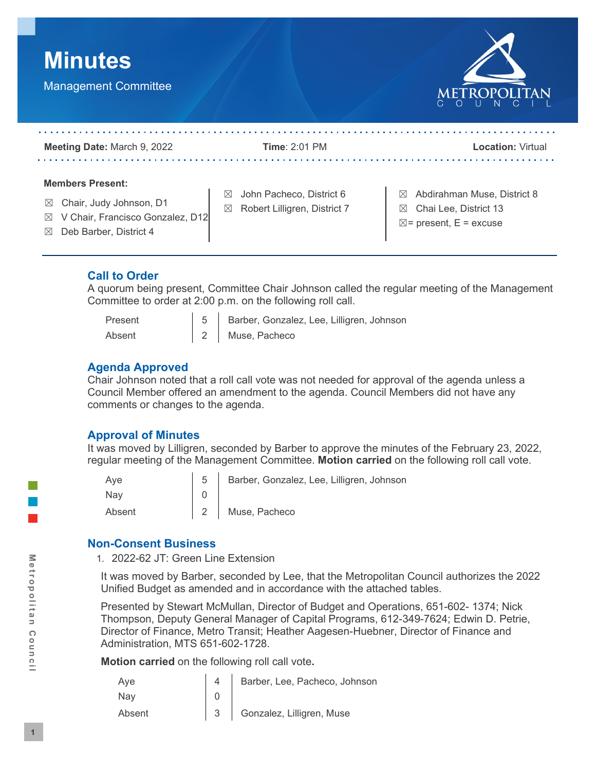



| Meeting Date: March 9, 2022                                                                                                                                | Time: $2:01$ PM                                                                        | <b>Location: Virtual</b>                                                                                   |
|------------------------------------------------------------------------------------------------------------------------------------------------------------|----------------------------------------------------------------------------------------|------------------------------------------------------------------------------------------------------------|
| <b>Members Present:</b><br>Chair, Judy Johnson, D1<br>$\bowtie$<br>V Chair, Francisco Gonzalez, D12<br>$\bowtie$<br>Deb Barber, District 4<br>$\mathbb{X}$ | John Pacheco, District 6<br>$\boxtimes$<br>Robert Lilligren, District 7<br>$\boxtimes$ | $\boxtimes$ Abdirahman Muse, District 8<br>Chai Lee, District 13<br>⊠<br>$\boxtimes$ = present, E = excuse |

## **Call to Order**

A quorum being present, Committee Chair Johnson called the regular meeting of the Management Committee to order at 2:00 p.m. on the following roll call.

| Present | 5 Barber, Gonzalez, Lee, Lilligren, Johnson |
|---------|---------------------------------------------|
| Absent  | 2 Muse, Pacheco                             |

### **Agenda Approved**

Chair Johnson noted that a roll call vote was not needed for approval of the agenda unless a Council Member offered an amendment to the agenda. Council Members did not have any comments or changes to the agenda.

## **Approval of Minutes**

It was moved by Lilligren, seconded by Barber to approve the minutes of the February 23, 2022, regular meeting of the Management Committee. **Motion carried** on the following roll call vote.

| Ave    | 5 Barber, Gonzalez, Lee, Lilligren, Johnson |
|--------|---------------------------------------------|
| Nav    |                                             |
| Absent | 2 Muse, Pacheco                             |

## **Non-Consent Business**

1. 2022-62 JT: Green Line Extension

It was moved by Barber, seconded by Lee, that the Metropolitan Council authorizes the 2022 Unified Budget as amended and in accordance with the attached tables.

Presented by Stewart McMullan, Director of Budget and Operations, 651-602- 1374; Nick Thompson, Deputy General Manager of Capital Programs, 612-349-7624; Edwin D. Petrie, Director of Finance, Metro Transit; Heather Aagesen-Huebner, Director of Finance and Administration, MTS 651-602-1728.

**Motion carried** on the following roll call vote**.**

| Ave    | Barber, Lee, Pacheco, Johnson |
|--------|-------------------------------|
| Nav    |                               |
| Absent | 3 Gonzalez, Lilligren, Muse   |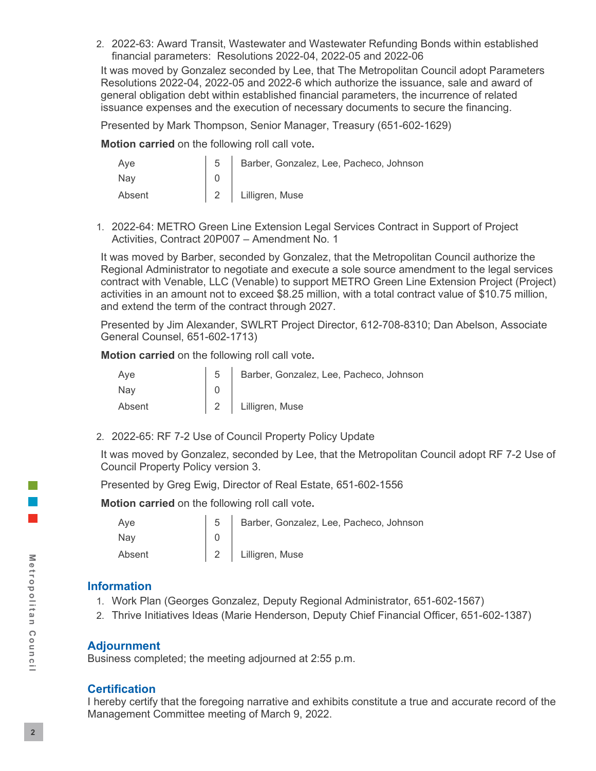2. 2022-63: Award Transit, Wastewater and Wastewater Refunding Bonds within established financial parameters: Resolutions 2022-04, 2022-05 and 2022-06

It was moved by Gonzalez seconded by Lee, that The Metropolitan Council adopt Parameters Resolutions 2022-04, 2022-05 and 2022-6 which authorize the issuance, sale and award of general obligation debt within established financial parameters, the incurrence of related issuance expenses and the execution of necessary documents to secure the financing.

Presented by Mark Thompson, Senior Manager, Treasury (651-602-1629)

**Motion carried** on the following roll call vote**.**

| Aye    | 5   Barber, Gonzalez, Lee, Pacheco, Johnson |
|--------|---------------------------------------------|
| Nav    |                                             |
| Absent | 2 Lilligren, Muse                           |

1. 2022-64: METRO Green Line Extension Legal Services Contract in Support of Project Activities, Contract 20P007 – Amendment No. 1

It was moved by Barber, seconded by Gonzalez, that the Metropolitan Council authorize the Regional Administrator to negotiate and execute a sole source amendment to the legal services contract with Venable, LLC (Venable) to support METRO Green Line Extension Project (Project) activities in an amount not to exceed \$8.25 million, with a total contract value of \$10.75 million, and extend the term of the contract through 2027.

Presented by Jim Alexander, SWLRT Project Director, 612-708-8310; Dan Abelson, Associate General Counsel, 651-602-1713)

**Motion carried** on the following roll call vote**.**

| Ave    | 5 Barber, Gonzalez, Lee, Pacheco, Johnson |
|--------|-------------------------------------------|
| Nav    |                                           |
| Absent | 2 Lilligren, Muse                         |

2. 2022-65: RF 7-2 Use of Council Property Policy Update

It was moved by Gonzalez, seconded by Lee, that the Metropolitan Council adopt RF 7-2 Use of Council Property Policy version 3.

Presented by Greg Ewig, Director of Real Estate, 651-602-1556

**Motion carried** on the following roll call vote**.**

| Ave    | 5   Barber, Gonzalez, Lee, Pacheco, Johnson |
|--------|---------------------------------------------|
| Nav    |                                             |
| Absent | 2 Lilligren, Muse                           |

#### **Information**

- 1. Work Plan (Georges Gonzalez, Deputy Regional Administrator, 651-602-1567)
- 2. Thrive Initiatives Ideas (Marie Henderson, Deputy Chief Financial Officer, 651-602-1387)

#### **Adjournment**

Business completed; the meeting adjourned at 2:55 p.m.

#### **Certification**

I hereby certify that the foregoing narrative and exhibits constitute a true and accurate record of the Management Committee meeting of March 9, 2022.